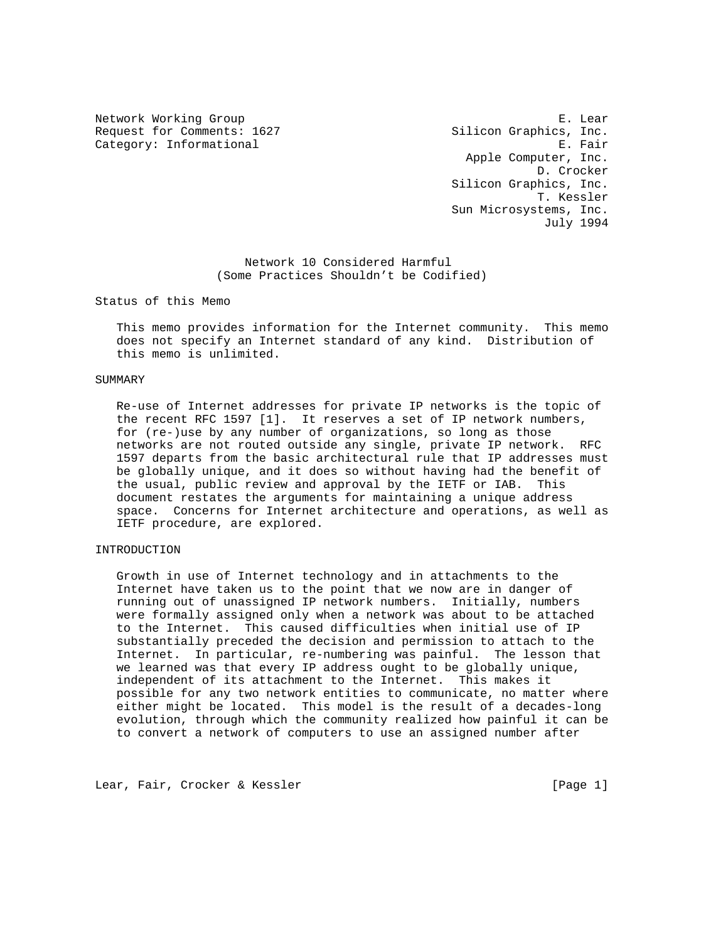Request for Comments: 1627 Silicon Graphics, Inc. Category: Informational example of the contraction of the contraction of the contraction of the contraction of the contraction of the contraction of the contraction of the contraction of the contraction of the contraction

Network Working Group extension of the set of the set of the set of the set of the set of the set of the set of the set of the set of the set of the set of the set of the set of the set of the set of the set of the set of Apple Computer, Inc. D. Crocker Silicon Graphics, Inc. T. Kessler Sun Microsystems, Inc. July 1994

> Network 10 Considered Harmful (Some Practices Shouldn't be Codified)

Status of this Memo

 This memo provides information for the Internet community. This memo does not specify an Internet standard of any kind. Distribution of this memo is unlimited.

## SUMMARY

 Re-use of Internet addresses for private IP networks is the topic of the recent RFC 1597 [1]. It reserves a set of IP network numbers, for (re-)use by any number of organizations, so long as those networks are not routed outside any single, private IP network. RFC 1597 departs from the basic architectural rule that IP addresses must be globally unique, and it does so without having had the benefit of the usual, public review and approval by the IETF or IAB. This document restates the arguments for maintaining a unique address space. Concerns for Internet architecture and operations, as well as IETF procedure, are explored.

# INTRODUCTION

 Growth in use of Internet technology and in attachments to the Internet have taken us to the point that we now are in danger of running out of unassigned IP network numbers. Initially, numbers were formally assigned only when a network was about to be attached to the Internet. This caused difficulties when initial use of IP substantially preceded the decision and permission to attach to the Internet. In particular, re-numbering was painful. The lesson that we learned was that every IP address ought to be globally unique, independent of its attachment to the Internet. This makes it possible for any two network entities to communicate, no matter where either might be located. This model is the result of a decades-long evolution, through which the community realized how painful it can be to convert a network of computers to use an assigned number after

Lear, Fair, Crocker & Kessler [Page 1]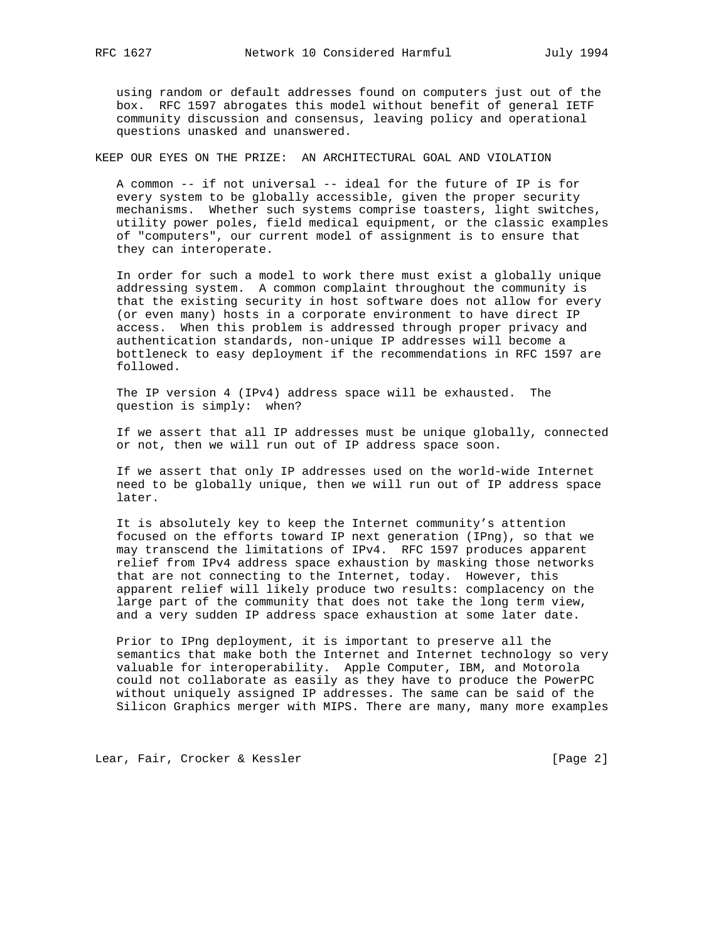using random or default addresses found on computers just out of the box. RFC 1597 abrogates this model without benefit of general IETF community discussion and consensus, leaving policy and operational questions unasked and unanswered.

KEEP OUR EYES ON THE PRIZE: AN ARCHITECTURAL GOAL AND VIOLATION

 A common -- if not universal -- ideal for the future of IP is for every system to be globally accessible, given the proper security mechanisms. Whether such systems comprise toasters, light switches, utility power poles, field medical equipment, or the classic examples of "computers", our current model of assignment is to ensure that they can interoperate.

 In order for such a model to work there must exist a globally unique addressing system. A common complaint throughout the community is that the existing security in host software does not allow for every (or even many) hosts in a corporate environment to have direct IP access. When this problem is addressed through proper privacy and authentication standards, non-unique IP addresses will become a bottleneck to easy deployment if the recommendations in RFC 1597 are followed.

 The IP version 4 (IPv4) address space will be exhausted. The question is simply: when?

 If we assert that all IP addresses must be unique globally, connected or not, then we will run out of IP address space soon.

 If we assert that only IP addresses used on the world-wide Internet need to be globally unique, then we will run out of IP address space later.

 It is absolutely key to keep the Internet community's attention focused on the efforts toward IP next generation (IPng), so that we may transcend the limitations of IPv4. RFC 1597 produces apparent relief from IPv4 address space exhaustion by masking those networks that are not connecting to the Internet, today. However, this apparent relief will likely produce two results: complacency on the large part of the community that does not take the long term view, and a very sudden IP address space exhaustion at some later date.

 Prior to IPng deployment, it is important to preserve all the semantics that make both the Internet and Internet technology so very valuable for interoperability. Apple Computer, IBM, and Motorola could not collaborate as easily as they have to produce the PowerPC without uniquely assigned IP addresses. The same can be said of the Silicon Graphics merger with MIPS. There are many, many more examples

Lear, Fair, Crocker & Kessler [Page 2]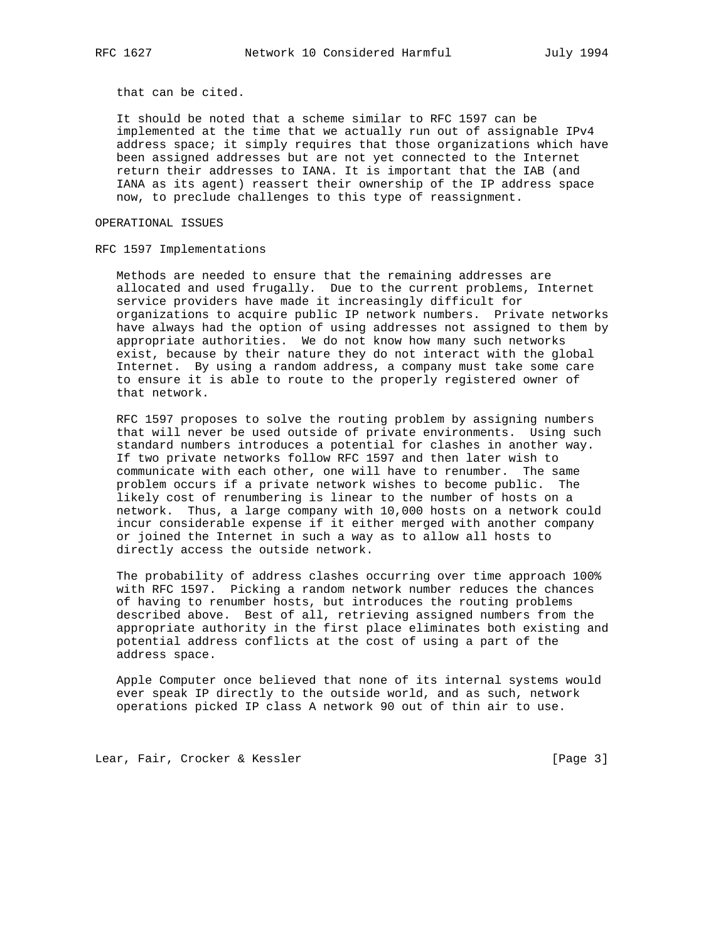that can be cited.

 It should be noted that a scheme similar to RFC 1597 can be implemented at the time that we actually run out of assignable IPv4 address space; it simply requires that those organizations which have been assigned addresses but are not yet connected to the Internet return their addresses to IANA. It is important that the IAB (and IANA as its agent) reassert their ownership of the IP address space now, to preclude challenges to this type of reassignment.

OPERATIONAL ISSUES

RFC 1597 Implementations

 Methods are needed to ensure that the remaining addresses are allocated and used frugally. Due to the current problems, Internet service providers have made it increasingly difficult for organizations to acquire public IP network numbers. Private networks have always had the option of using addresses not assigned to them by appropriate authorities. We do not know how many such networks exist, because by their nature they do not interact with the global Internet. By using a random address, a company must take some care to ensure it is able to route to the properly registered owner of that network.

 RFC 1597 proposes to solve the routing problem by assigning numbers that will never be used outside of private environments. Using such standard numbers introduces a potential for clashes in another way. If two private networks follow RFC 1597 and then later wish to communicate with each other, one will have to renumber. The same problem occurs if a private network wishes to become public. The likely cost of renumbering is linear to the number of hosts on a network. Thus, a large company with 10,000 hosts on a network could incur considerable expense if it either merged with another company or joined the Internet in such a way as to allow all hosts to directly access the outside network.

 The probability of address clashes occurring over time approach 100% with RFC 1597. Picking a random network number reduces the chances of having to renumber hosts, but introduces the routing problems described above. Best of all, retrieving assigned numbers from the appropriate authority in the first place eliminates both existing and potential address conflicts at the cost of using a part of the address space.

 Apple Computer once believed that none of its internal systems would ever speak IP directly to the outside world, and as such, network operations picked IP class A network 90 out of thin air to use.

Lear, Fair, Crocker & Kessler [Page 3]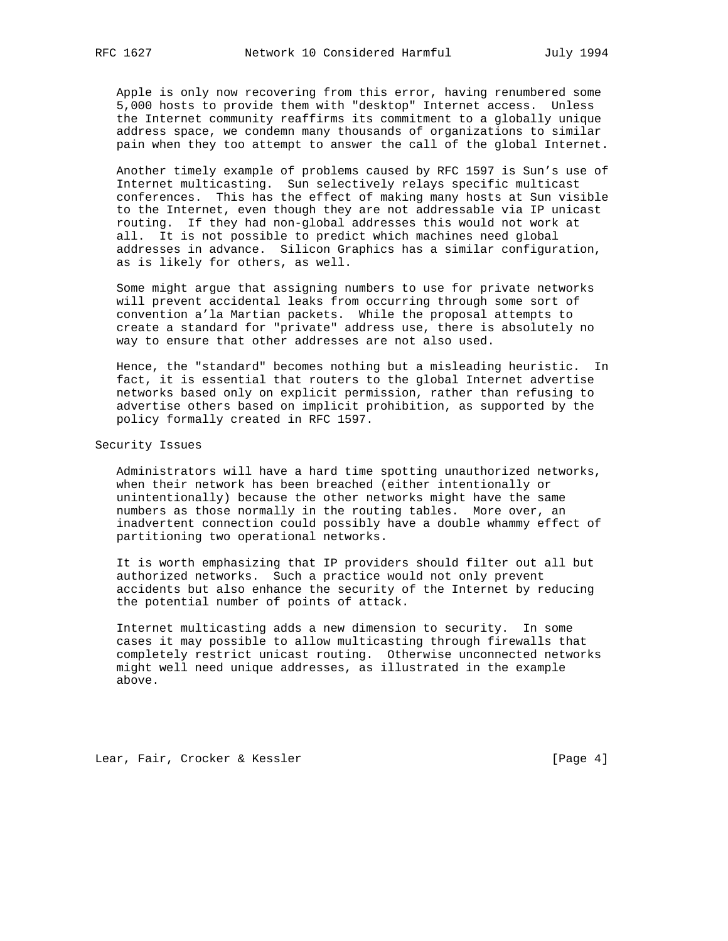Apple is only now recovering from this error, having renumbered some 5,000 hosts to provide them with "desktop" Internet access. Unless the Internet community reaffirms its commitment to a globally unique address space, we condemn many thousands of organizations to similar pain when they too attempt to answer the call of the global Internet.

 Another timely example of problems caused by RFC 1597 is Sun's use of Internet multicasting. Sun selectively relays specific multicast conferences. This has the effect of making many hosts at Sun visible to the Internet, even though they are not addressable via IP unicast routing. If they had non-global addresses this would not work at all. It is not possible to predict which machines need global addresses in advance. Silicon Graphics has a similar configuration, as is likely for others, as well.

 Some might argue that assigning numbers to use for private networks will prevent accidental leaks from occurring through some sort of convention a'la Martian packets. While the proposal attempts to create a standard for "private" address use, there is absolutely no way to ensure that other addresses are not also used.

 Hence, the "standard" becomes nothing but a misleading heuristic. In fact, it is essential that routers to the global Internet advertise networks based only on explicit permission, rather than refusing to advertise others based on implicit prohibition, as supported by the policy formally created in RFC 1597.

Security Issues

 Administrators will have a hard time spotting unauthorized networks, when their network has been breached (either intentionally or unintentionally) because the other networks might have the same numbers as those normally in the routing tables. More over, an inadvertent connection could possibly have a double whammy effect of partitioning two operational networks.

 It is worth emphasizing that IP providers should filter out all but authorized networks. Such a practice would not only prevent accidents but also enhance the security of the Internet by reducing the potential number of points of attack.

 Internet multicasting adds a new dimension to security. In some cases it may possible to allow multicasting through firewalls that completely restrict unicast routing. Otherwise unconnected networks might well need unique addresses, as illustrated in the example above.

Lear, Fair, Crocker & Kessler [Page 4]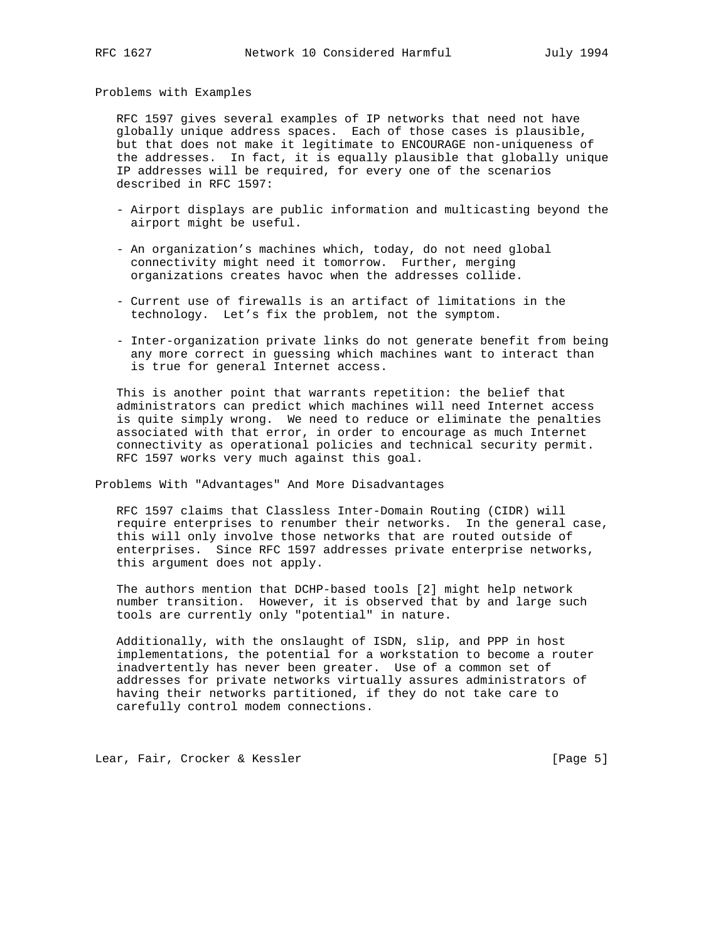Problems with Examples

 RFC 1597 gives several examples of IP networks that need not have globally unique address spaces. Each of those cases is plausible, but that does not make it legitimate to ENCOURAGE non-uniqueness of the addresses. In fact, it is equally plausible that globally unique IP addresses will be required, for every one of the scenarios described in RFC 1597:

- Airport displays are public information and multicasting beyond the airport might be useful.
- An organization's machines which, today, do not need global connectivity might need it tomorrow. Further, merging organizations creates havoc when the addresses collide.
- Current use of firewalls is an artifact of limitations in the technology. Let's fix the problem, not the symptom.
- Inter-organization private links do not generate benefit from being any more correct in guessing which machines want to interact than is true for general Internet access.

 This is another point that warrants repetition: the belief that administrators can predict which machines will need Internet access is quite simply wrong. We need to reduce or eliminate the penalties associated with that error, in order to encourage as much Internet connectivity as operational policies and technical security permit. RFC 1597 works very much against this goal.

Problems With "Advantages" And More Disadvantages

 RFC 1597 claims that Classless Inter-Domain Routing (CIDR) will require enterprises to renumber their networks. In the general case, this will only involve those networks that are routed outside of enterprises. Since RFC 1597 addresses private enterprise networks, this argument does not apply.

 The authors mention that DCHP-based tools [2] might help network number transition. However, it is observed that by and large such tools are currently only "potential" in nature.

 Additionally, with the onslaught of ISDN, slip, and PPP in host implementations, the potential for a workstation to become a router inadvertently has never been greater. Use of a common set of addresses for private networks virtually assures administrators of having their networks partitioned, if they do not take care to carefully control modem connections.

Lear, Fair, Crocker & Kessler [Page 5]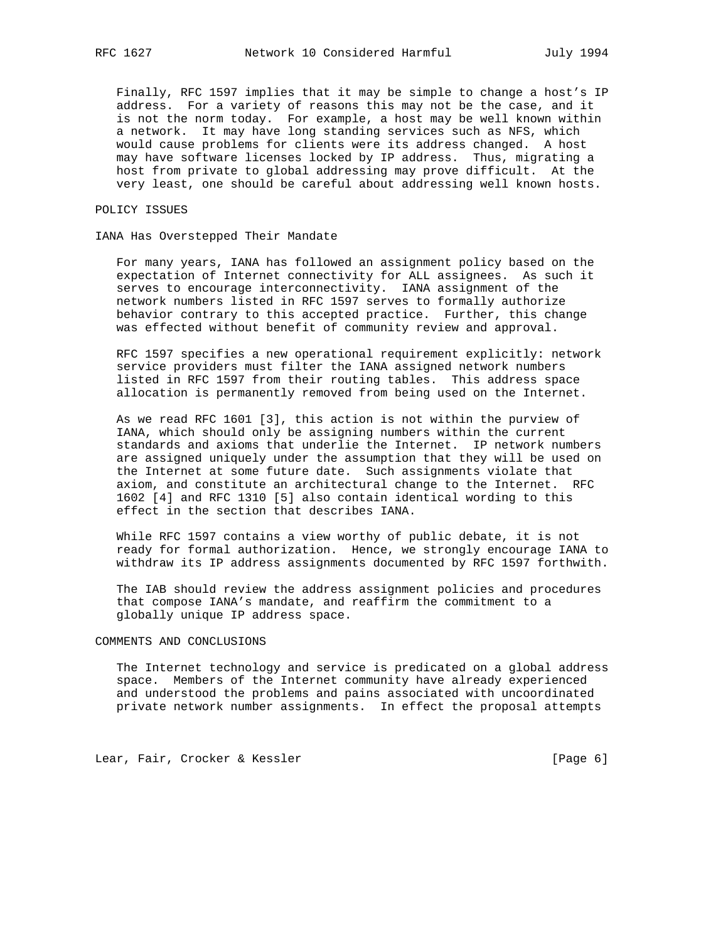Finally, RFC 1597 implies that it may be simple to change a host's IP address. For a variety of reasons this may not be the case, and it is not the norm today. For example, a host may be well known within a network. It may have long standing services such as NFS, which would cause problems for clients were its address changed. A host may have software licenses locked by IP address. Thus, migrating a host from private to global addressing may prove difficult. At the very least, one should be careful about addressing well known hosts.

POLICY ISSUES

IANA Has Overstepped Their Mandate

 For many years, IANA has followed an assignment policy based on the expectation of Internet connectivity for ALL assignees. As such it serves to encourage interconnectivity. IANA assignment of the network numbers listed in RFC 1597 serves to formally authorize behavior contrary to this accepted practice. Further, this change was effected without benefit of community review and approval.

 RFC 1597 specifies a new operational requirement explicitly: network service providers must filter the IANA assigned network numbers listed in RFC 1597 from their routing tables. This address space allocation is permanently removed from being used on the Internet.

 As we read RFC 1601 [3], this action is not within the purview of IANA, which should only be assigning numbers within the current standards and axioms that underlie the Internet. IP network numbers are assigned uniquely under the assumption that they will be used on the Internet at some future date. Such assignments violate that axiom, and constitute an architectural change to the Internet. RFC 1602 [4] and RFC 1310 [5] also contain identical wording to this effect in the section that describes IANA.

 While RFC 1597 contains a view worthy of public debate, it is not ready for formal authorization. Hence, we strongly encourage IANA to withdraw its IP address assignments documented by RFC 1597 forthwith.

 The IAB should review the address assignment policies and procedures that compose IANA's mandate, and reaffirm the commitment to a globally unique IP address space.

## COMMENTS AND CONCLUSIONS

 The Internet technology and service is predicated on a global address space. Members of the Internet community have already experienced and understood the problems and pains associated with uncoordinated private network number assignments. In effect the proposal attempts

Lear, Fair, Crocker & Kessler [Page 6]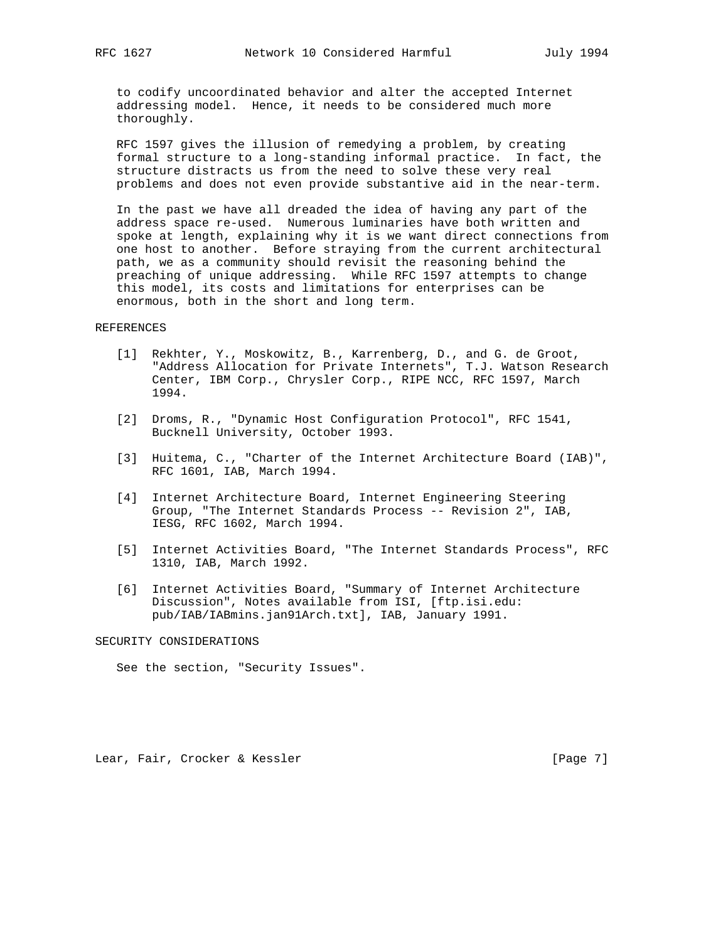to codify uncoordinated behavior and alter the accepted Internet addressing model. Hence, it needs to be considered much more thoroughly.

 RFC 1597 gives the illusion of remedying a problem, by creating formal structure to a long-standing informal practice. In fact, the structure distracts us from the need to solve these very real problems and does not even provide substantive aid in the near-term.

 In the past we have all dreaded the idea of having any part of the address space re-used. Numerous luminaries have both written and spoke at length, explaining why it is we want direct connections from one host to another. Before straying from the current architectural path, we as a community should revisit the reasoning behind the preaching of unique addressing. While RFC 1597 attempts to change this model, its costs and limitations for enterprises can be enormous, both in the short and long term.

#### REFERENCES

- [1] Rekhter, Y., Moskowitz, B., Karrenberg, D., and G. de Groot, "Address Allocation for Private Internets", T.J. Watson Research Center, IBM Corp., Chrysler Corp., RIPE NCC, RFC 1597, March 1994.
- [2] Droms, R., "Dynamic Host Configuration Protocol", RFC 1541, Bucknell University, October 1993.
- [3] Huitema, C., "Charter of the Internet Architecture Board (IAB)", RFC 1601, IAB, March 1994.
- [4] Internet Architecture Board, Internet Engineering Steering Group, "The Internet Standards Process -- Revision 2", IAB, IESG, RFC 1602, March 1994.
- [5] Internet Activities Board, "The Internet Standards Process", RFC 1310, IAB, March 1992.
- [6] Internet Activities Board, "Summary of Internet Architecture Discussion", Notes available from ISI, [ftp.isi.edu: pub/IAB/IABmins.jan91Arch.txt], IAB, January 1991.

## SECURITY CONSIDERATIONS

See the section, "Security Issues".

Lear, Fair, Crocker & Kessler [Page 7]